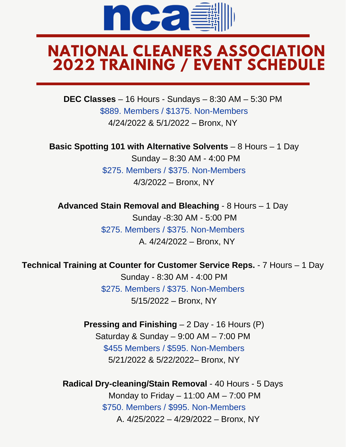

## **NATIONAL CLEANERS ASSOCIATION 2022 TRAINING / EVENT SCHEDULE**

**DEC Classes** – 16 Hours - Sundays – 8:30 AM – 5:30 PM \$889. Members / \$1375. Non-Members 4/24/2022 & 5/1/2022 – Bronx, NY

**Basic Spotting 101 with Alternative Solvents** – 8 Hours – 1 Day

 Sunday – 8:30 AM - 4:00 PM \$275. Members / \$375. Non-Members 4/3/2022 – Bronx, NY

**Advanced Stain Removal and Bleaching** - 8 Hours – 1 Day Sunday -8:30 AM - 5:00 PM \$275. Members / \$375. Non-Members A. 4/24/2022 – Bronx, NY

**Technical Training at Counter for Customer Service Reps.** - 7 Hours – 1 Day

 Sunday - 8:30 AM - 4:00 PM \$275. Members / \$375. Non-Members 5/15/2022 – Bronx, NY

**Pressing and Finishing** – 2 Day - 16 Hours (P) Saturday & Sunday – 9:00 AM – 7:00 PM \$455 Members / \$595. Non-Members 5/21/2022 & 5/22/2022– Bronx, NY

**Radical Dry-cleaning/Stain Removal** - 40 Hours - 5 Days Monday to Friday  $- 11:00$  AM  $- 7:00$  PM \$750. Members / \$995. Non-Members A. 4/25/2022 – 4/29/2022 – Bronx, NY